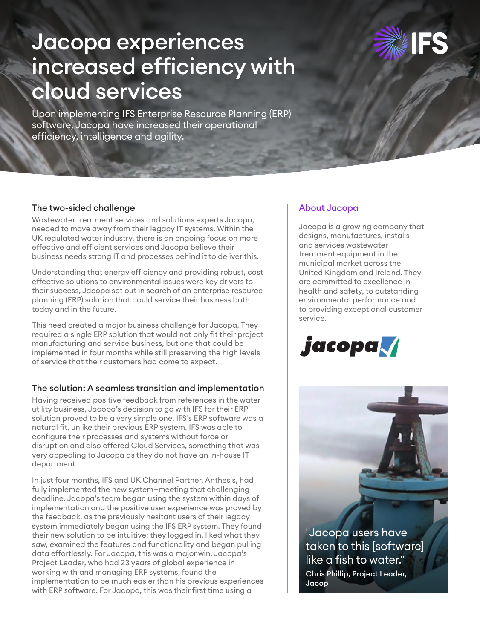# Jacopa experiences increased efficiency with cloud services



Upon implementing IFS Enterprise Resource Planning (ERP) software, Jacopa have increased their operational efficiency, intelligence and agility.

## The two-sided challenge

Wastewater treatment services and solutions experts Jacopa, needed to move away from their legacy IT systems. Within the UK regulated water industry, there is an ongoing focus on more effective and efficient services and Jacopa believe their business needs strong IT and processes behind it to deliver this.

Understanding that energy efficiency and providing robust, cost effective solutions to environmental issues were key drivers to their success, Jacopa set out in search of an enterprise resource planning (ERP) solution that could service their business both today and in the future.

This need created a major business challenge for Jacopa. They required a single ERP solution that would not only fit their project manufacturing and service business, but one that could be implemented in four months while still preserving the high levels of service that their customers had come to expect.

#### The solution: A seamless transition and implementation

Having received positive feedback from references in the water utility business, Jacopa's decision to go with IFS for their ERP solution proved to be a very simple one. IFS's ERP software was a natural fit, unlike their previous ERP system. IFS was able to configure their processes and systems without force or disruption and also offered Cloud Services, something that was very appealing to Jacopa as they do not have an in-house IT department.

In just four months, IFS and UK Channel Partner, Anthesis, had fully implemented the new system—meeting that challenging deadline. Jacopa's team began using the system within days of implementation and the positive user experience was proved by the feedback, as the previously hesitant users of their legacy system immediately began using the IFS ERP system. They found their new solution to be intuitive: they logged in, liked what they saw, examined the features and functionality and began pulling data effortlessly. For Jacopa, this was a major win. Jacopa's Project Leader, who had 23 years of global experience in working with and managing ERP systems, found the implementation to be much easier than his previous experiences with ERP software. For Jacopa, this was their first time using a

## About Jacopa

Jacopa is a growing company that designs, manufactures, installs and services wastewater treatment equipment in the municipal market across the United Kingdom and Ireland. They are committed to excellence in health and safety, to outstanding environmental performance and to providing exceptional customer service.



Chris Phillip, Project Leader, Jacop "Jacopa users have taken to this [software] like a fish to water."